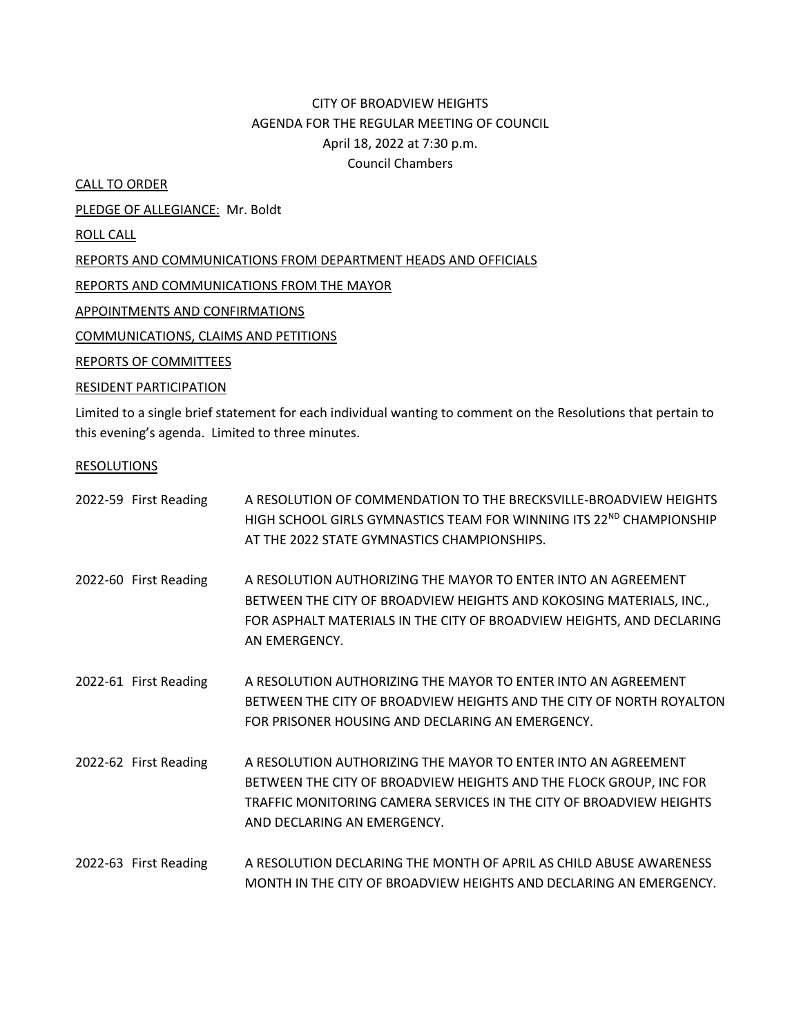## CITY OF BROADVIEW HEIGHTS AGENDA FOR THE REGULAR MEETING OF COUNCIL April 18, 2022 at 7:30 p.m. Council Chambers

CALL TO ORDER

PLEDGE OF ALLEGIANCE: Mr. Boldt

ROLL CALL

REPORTS AND COMMUNICATIONS FROM DEPARTMENT HEADS AND OFFICIALS

REPORTS AND COMMUNICATIONS FROM THE MAYOR

APPOINTMENTS AND CONFIRMATIONS

COMMUNICATIONS, CLAIMS AND PETITIONS

REPORTS OF COMMITTEES

## RESIDENT PARTICIPATION

Limited to a single brief statement for each individual wanting to comment on the Resolutions that pertain to this evening's agenda. Limited to three minutes.

## RESOLUTIONS

| 2022-59 First Reading | A RESOLUTION OF COMMENDATION TO THE BRECKSVILLE-BROADVIEW HEIGHTS<br>HIGH SCHOOL GIRLS GYMNASTICS TEAM FOR WINNING ITS 22 <sup>ND</sup> CHAMPIONSHIP<br>AT THE 2022 STATE GYMNASTICS CHAMPIONSHIPS.                                       |
|-----------------------|-------------------------------------------------------------------------------------------------------------------------------------------------------------------------------------------------------------------------------------------|
| 2022-60 First Reading | A RESOLUTION AUTHORIZING THE MAYOR TO ENTER INTO AN AGREEMENT<br>BETWEEN THE CITY OF BROADVIEW HEIGHTS AND KOKOSING MATERIALS, INC.,<br>FOR ASPHALT MATERIALS IN THE CITY OF BROADVIEW HEIGHTS, AND DECLARING<br>AN EMERGENCY.            |
| 2022-61 First Reading | A RESOLUTION AUTHORIZING THE MAYOR TO ENTER INTO AN AGREEMENT<br>BETWEEN THE CITY OF BROADVIEW HEIGHTS AND THE CITY OF NORTH ROYALTON<br>FOR PRISONER HOUSING AND DECLARING AN EMERGENCY.                                                 |
| 2022-62 First Reading | A RESOLUTION AUTHORIZING THE MAYOR TO ENTER INTO AN AGREEMENT<br>BETWEEN THE CITY OF BROADVIEW HEIGHTS AND THE FLOCK GROUP, INC FOR<br>TRAFFIC MONITORING CAMERA SERVICES IN THE CITY OF BROADVIEW HEIGHTS<br>AND DECLARING AN EMERGENCY. |
| 2022-63 First Reading | A RESOLUTION DECLARING THE MONTH OF APRIL AS CHILD ABUSE AWARENESS<br>MONTH IN THE CITY OF BROADVIEW HEIGHTS AND DECLARING AN EMERGENCY.                                                                                                  |